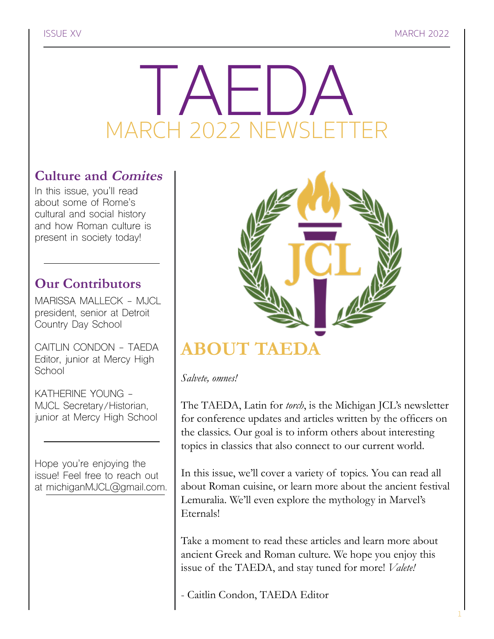# RCH 2022 NEWSLET MARCH 2022 NEWSLETTER

### **Culture and Comites**

In this issue, you'll read about some of Rome's cultural and social history and how Roman culture is present in society today!

### **Our Contributors**

MARISSA MALLECK - MJCL president, senior at Detroit Country Day School

CAITLIN CONDON - TAEDA Editor, junior at Mercy High School

KATHERINE YOUNG - MJCL Secretary/Historian, junior at Mercy High School

Hope you're enjoying the issue! Feel free to reach out at michiganMJCL@gmail.com.



### *Salvete, omnes!*

The TAEDA, Latin for *torch*, is the Michigan JCL's newsletter for conference updates and articles written by the officers on the classics. Our goal is to inform others about interesting topics in classics that also connect to our current world.

In this issue, we'll cover a variety of topics. You can read all about Roman cuisine, or learn more about the ancient festival Lemuralia. We'll even explore the mythology in Marvel's Eternals!

Take a moment to read these articles and learn more about ancient Greek and Roman culture. We hope you enjoy this issue of the TAEDA, and stay tuned for more! *Valete!*

- Caitlin Condon, TAEDA Editor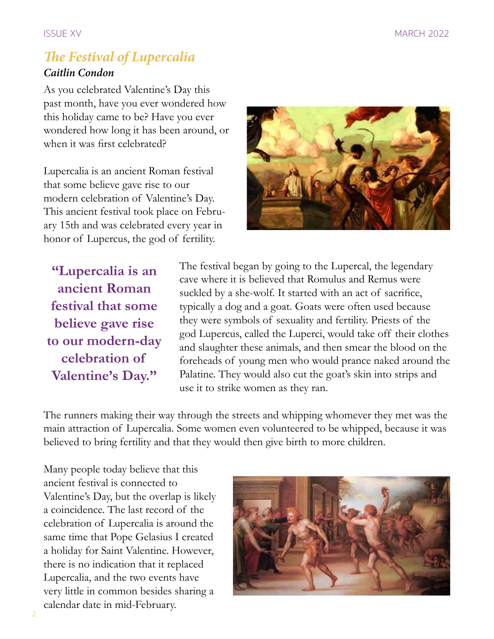### *The Festival of Lupercalia Caitlin Condon*

As you celebrated Valentine's Day this past month, have you ever wondered how this holiday came to be? Have you ever wondered how long it has been around, or when it was first celebrated?

Lupercalia is an ancient Roman festival that some believe gave rise to our modern celebration of Valentine's Day. This ancient festival took place on February 15th and was celebrated every year in honor of Lupercus, the god of fertility.



**"Lupercalia is an ancient Roman festival that some believe gave rise to our modern-day celebration of Valentine's Day."**

The festival began by going to the Lupercal, the legendary cave where it is believed that Romulus and Remus were suckled by a she-wolf. It started with an act of sacrifice, typically a dog and a goat. Goats were often used because they were symbols of sexuality and fertility. Priests of the god Lupercus, called the Luperci, would take off their clothes and slaughter these animals, and then smear the blood on the foreheads of young men who would prance naked around the Palatine. They would also cut the goat's skin into strips and use it to strike women as they ran.

The runners making their way through the streets and whipping whomever they met was the main attraction of Lupercalia. Some women even volunteered to be whipped, because it was believed to bring fertility and that they would then give birth to more children.

Many people today believe that this ancient festival is connected to Valentine's Day, but the overlap is likely a coincidence. The last record of the celebration of Lupercalia is around the same time that Pope Gelasius I created a holiday for Saint Valentine. However, there is no indication that it replaced Lupercalia, and the two events have very little in common besides sharing a calendar date in mid-February.

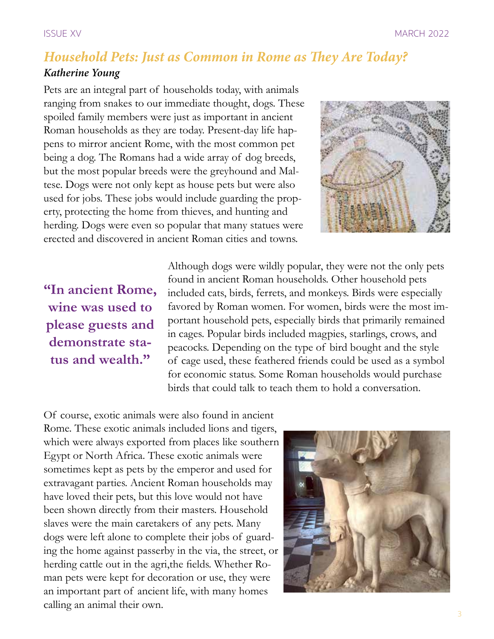# *Household Pets: Just as Common in Rome as They Are Today?*

### *Katherine Young*

Pets are an integral part of households today, with animals ranging from snakes to our immediate thought, dogs. These spoiled family members were just as important in ancient Roman households as they are today. Present-day life happens to mirror ancient Rome, with the most common pet being a dog. The Romans had a wide array of dog breeds, but the most popular breeds were the greyhound and Maltese. Dogs were not only kept as house pets but were also used for jobs. These jobs would include guarding the property, protecting the home from thieves, and hunting and herding. Dogs were even so popular that many statues were erected and discovered in ancient Roman cities and towns.



## **"In ancient Rome, wine was used to please guests and demonstrate status and wealth."**

Although dogs were wildly popular, they were not the only pets found in ancient Roman households. Other household pets included cats, birds, ferrets, and monkeys. Birds were especially favored by Roman women. For women, birds were the most important household pets, especially birds that primarily remained in cages. Popular birds included magpies, starlings, crows, and peacocks. Depending on the type of bird bought and the style of cage used, these feathered friends could be used as a symbol for economic status. Some Roman households would purchase birds that could talk to teach them to hold a conversation.

Of course, exotic animals were also found in ancient Rome. These exotic animals included lions and tigers, which were always exported from places like southern Egypt or North Africa. These exotic animals were sometimes kept as pets by the emperor and used for extravagant parties. Ancient Roman households may have loved their pets, but this love would not have been shown directly from their masters. Household slaves were the main caretakers of any pets. Many dogs were left alone to complete their jobs of guarding the home against passerby in the via, the street, or herding cattle out in the agri,the fields. Whether Roman pets were kept for decoration or use, they were an important part of ancient life, with many homes calling an animal their own.